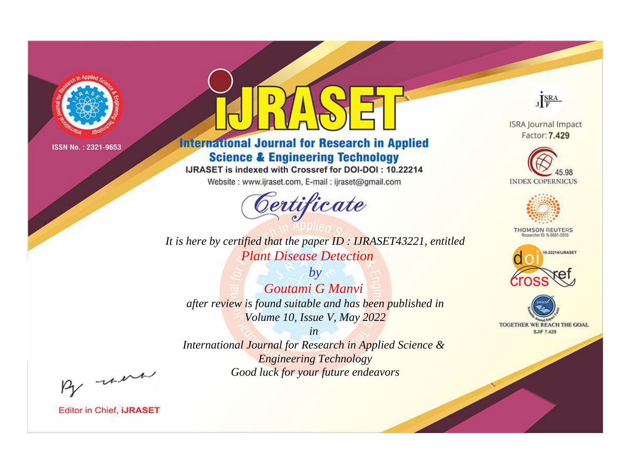

# **International Journal for Research in Applied Science & Engineering Technology**

IJRASET is indexed with Crossref for DOI-DOI: 10.22214

Website: www.ijraset.com, E-mail: ijraset@gmail.com



**ISRA Journal Impact** Factor: 7.429

JERA





**THOMSON REUTERS** 



TOGETHER WE REACH THE GOAL **SJIF 7.429** 

*It is here by certified that the paper ID : IJRASET43221, entitled Plant Disease Detection*

*by Goutami G Manvi after review is found suitable and has been published in Volume 10, Issue V, May 2022*

*in* 

*International Journal for Research in Applied Science & Engineering Technology Good luck for your future endeavors*

By morn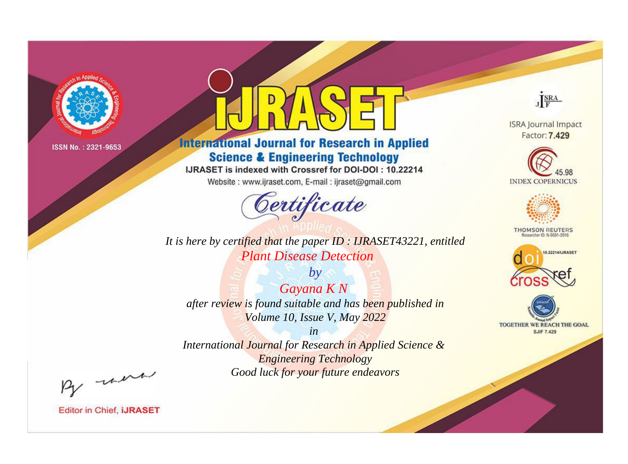

# **International Journal for Research in Applied Science & Engineering Technology**

IJRASET is indexed with Crossref for DOI-DOI: 10.22214

Website: www.ijraset.com, E-mail: ijraset@gmail.com



It is here by certified that the paper ID : IJRASET43221, entitled **Plant Disease Detection** 

 $by$ Gayana KN after review is found suitable and has been published in Volume 10, Issue V, May 2022

 $in$ International Journal for Research in Applied Science & **Engineering Technology** Good luck for your future endeavors



**ISRA Journal Impact** Factor: 7.429





**THOMSON REUTERS** 



TOGETHER WE REACH THE GOAL **SJIF 7.429** 

By morn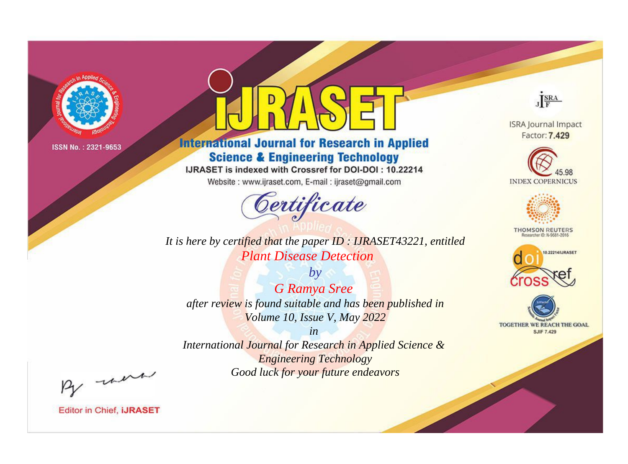

# **International Journal for Research in Applied Science & Engineering Technology**

IJRASET is indexed with Crossref for DOI-DOI: 10.22214

Website: www.ijraset.com, E-mail: ijraset@gmail.com



*It is here by certified that the paper ID : IJRASET43221, entitled Plant Disease Detection*

*by G Ramya Sree after review is found suitable and has been published in Volume 10, Issue V, May 2022*

*International Journal for Research in Applied Science & Engineering Technology Good luck for your future endeavors*

*in* 



**ISRA Journal Impact** Factor: 7.429





**THOMSON REUTERS** 





By morn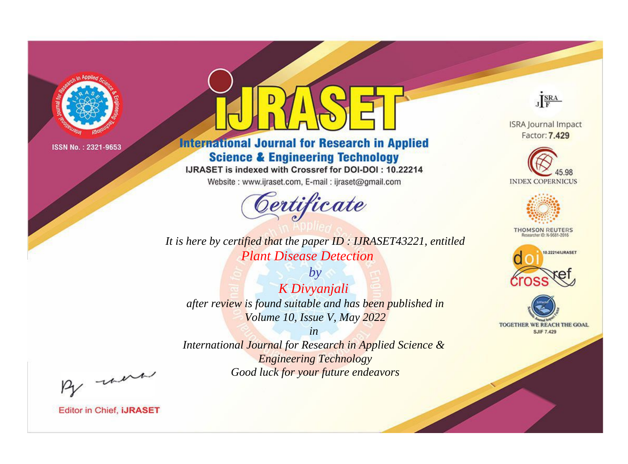

# **International Journal for Research in Applied Science & Engineering Technology**

IJRASET is indexed with Crossref for DOI-DOI: 10.22214

Website: www.ijraset.com, E-mail: ijraset@gmail.com



*It is here by certified that the paper ID : IJRASET43221, entitled Plant Disease Detection*

*by K Divyanjali after review is found suitable and has been published in Volume 10, Issue V, May 2022*

*in International Journal for Research in Applied Science & Engineering Technology Good luck for your future endeavors*



**ISRA Journal Impact** Factor: 7.429





**THOMSON REUTERS** 





By morn